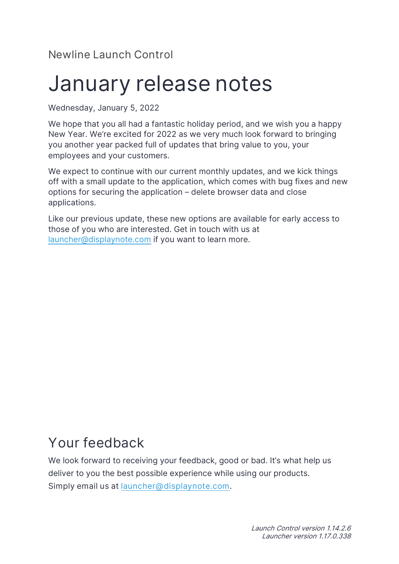#### **Newline Launch Control**

# **January release notes**

Wednesday, January 5, 2022

We hope that you all had a fantastic holiday period, and we wish you a happy New Year. We're excited for 2022 as we very much look forward to bringing you another year packed full of updates that bring value to you, your employees and your customers.

We expect to continue with our current monthly updates, and we kick things off with a small update to the application, which comes with bug fixes and new options for securing the application – delete browser data and close applications.

Like our previous update, these new options are available for early access to those of you who are interested. Get in touch with us at [launcher@displaynote.com](mailto:launcher@displaynote.com) if you want to learn more.

## **Your feedback**

We look forward to receiving your feedback, good or bad. It's what help us deliver to you the best possible experience while using our products. **Simply email us at [launcher@displaynote.com.](http://launcher@displaynote.com)**